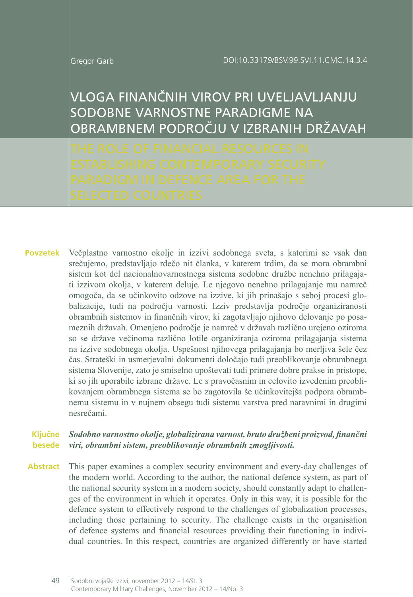VLOGA FINANČNIH VIROV PRI UVELJAVLJANJU H SODOBNE VARNOSTNE PARADIGME NA OBRAMBNEM PODROČJU V IZBRANIH DRŽAVAH

Večplastno varnostno okolje in izzivi sodobnega sveta, s katerimi se vsak dan srečujemo, predstavljajo rdečo nit članka, v katerem trdim, da se mora obrambni sistem kot del nacionalnovarnostnega sistema sodobne družbe nenehno prilagajati izzivom okolja, v katerem deluje. Le njegovo nenehno prilagajanje mu namreč omogoča, da se učinkovito odzove na izzive, ki jih prinašajo s seboj procesi globalizacije, tudi na področju varnosti. Izziv predstavlja področje organiziranosti obrambnih sistemov in finančnih virov, ki zagotavljajo njihovo delovanje po posameznih državah. Omenjeno področje je namreč v državah različno urejeno oziroma so se države večinoma različno lotile organiziranja oziroma prilagajanja sistema na izzive sodobnega okolja. Uspešnost njihovega prilagajanja bo merljiva šele čez čas. Strateški in usmerjevalni dokumenti določajo tudi preoblikovanje obrambnega sistema Slovenije, zato je smiselno upoštevati tudi primere dobre prakse in pristope, ki so jih uporabile izbrane države. Le s pravočasnim in celovito izvedenim preoblikovanjem obrambnega sistema se bo zagotovila še učinkovitejša podpora obrambnemu sistemu in v nujnem obsegu tudi sistemu varstva pred naravnimi in drugimi nesrečami. **Povzetek**

#### *Sodobno varnostno okolje, globalizirana varnost, bruto družbeni proizvod, finančni viri, obrambni sistem, preoblikovanje obrambnih zmogljivosti.* **besede Ključne**

Abstract This paper examines a complex security environment and every-day challenges of the modern world. According to the author, the national defence system, as part of the national security system in a modern society, should constantly adapt to challenges of the environment in which it operates. Only in this way, it is possible for the defence system to effectively respond to the challenges of globalization processes, including those pertaining to security. The challenge exists in the organisation of defence systems and financial resources providing their functioning in individual countries. In this respect, countries are organized differently or have started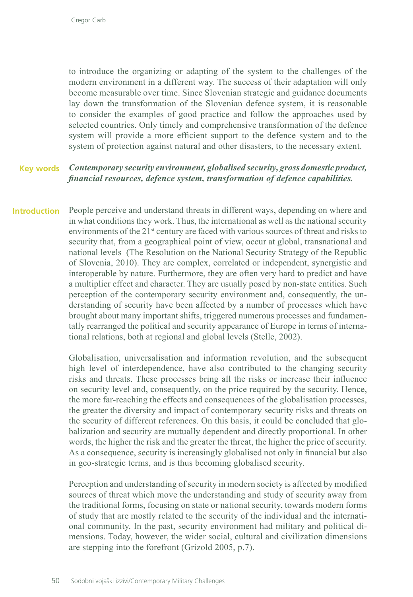to introduce the organizing or adapting of the system to the challenges of the modern environment in a different way. The success of their adaptation will only become measurable over time. Since Slovenian strategic and guidance documents lay down the transformation of the Slovenian defence system, it is reasonable to consider the examples of good practice and follow the approaches used by selected countries. Only timely and comprehensive transformation of the defence system will provide a more efficient support to the defence system and to the system of protection against natural and other disasters, to the necessary extent.

#### *Contemporary security environment, globalised security, gross domestic product, financial resources, defence system, transformation of defence capabilities.*  **Key words**

People perceive and understand threats in different ways, depending on where and in what conditions they work. Thus, the international as well as the national security environments of the 21<sup>st</sup> century are faced with various sources of threat and risks to security that, from a geographical point of view, occur at global, transnational and national levels (The Resolution on the National Security Strategy of the Republic of Slovenia, 2010). They are complex, correlated or independent, synergistic and interoperable by nature. Furthermore, they are often very hard to predict and have a multiplier effect and character. They are usually posed by non-state entities. Such perception of the contemporary security environment and, consequently, the understanding of security have been affected by a number of processes which have brought about many important shifts, triggered numerous processes and fundamentally rearranged the political and security appearance of Europe in terms of international relations, both at regional and global levels (Stelle, 2002). **Introduction**

> Globalisation, universalisation and information revolution, and the subsequent high level of interdependence, have also contributed to the changing security risks and threats. These processes bring all the risks or increase their influence on security level and, consequently, on the price required by the security. Hence, the more far-reaching the effects and consequences of the globalisation processes, the greater the diversity and impact of contemporary security risks and threats on the security of different references. On this basis, it could be concluded that globalization and security are mutually dependent and directly proportional. In other words, the higher the risk and the greater the threat, the higher the price of security. As a consequence, security is increasingly globalised not only in financial but also in geo-strategic terms, and is thus becoming globalised security.

> Perception and understanding of security in modern society is affected by modified sources of threat which move the understanding and study of security away from the traditional forms, focusing on state or national security, towards modern forms of study that are mostly related to the security of the individual and the international community. In the past, security environment had military and political dimensions. Today, however, the wider social, cultural and civilization dimensions are stepping into the forefront (Grizold 2005, p.7).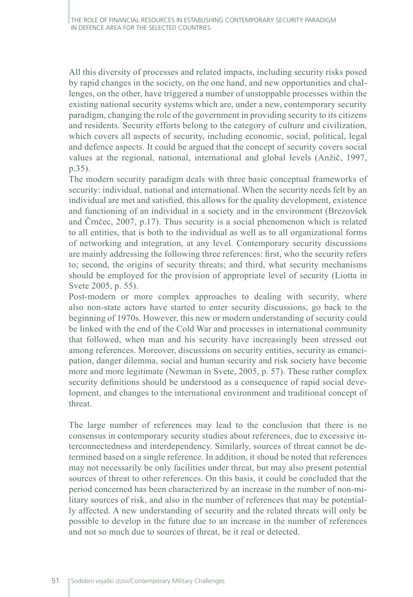All this diversity of processes and related impacts, including security risks posed by rapid changes in the society, on the one hand, and new opportunities and challenges, on the other, have triggered a number of unstoppable processes within the existing national security systems which are, under a new, contemporary security paradigm, changing the role of the government in providing security to its citizens and residents. Security efforts belong to the category of culture and civilization, which covers all aspects of security, including economic, social, political, legal and defence aspects. It could be argued that the concept of security covers social values at the regional, national, international and global levels (Anžič, 1997, p.35).

The modern security paradigm deals with three basic conceptual frameworks of security: individual, national and international. When the security needs felt by an individual are met and satisfied, this allows for the quality development, existence and functioning of an individual in a society and in the environment (Brezovšek and Črnčec, 2007, p.17). Thus security is a social phenomenon which is related to all entities, that is both to the individual as well as to all organizational forms of networking and integration, at any level. Contemporary security discussions are mainly addressing the following three references: first, who the security refers to; second, the origins of security threats; and third, what security mechanisms should be employed for the provision of appropriate level of security (Liotta in Svete 2005, p. 55).

Post-modern or more complex approaches to dealing with security, where also non-state actors have started to enter security discussions, go back to the beginning of 1970s. However, this new or modern understanding of security could be linked with the end of the Cold War and processes in international community that followed, when man and his security have increasingly been stressed out among references. Moreover, discussions on security entities, security as emancipation, danger dilemma, social and human security and risk society have become more and more legitimate (Newman in Svete, 2005, p. 57). These rather complex security definitions should be understood as a consequence of rapid social development, and changes to the international environment and traditional concept of threat.

The large number of references may lead to the conclusion that there is no consensus in contemporary security studies about references, due to excessive interconnectedness and interdependency. Similarly, sources of threat cannot be determined based on a single reference. In addition, it shoud be noted that references may not necessarily be only facilities under threat, but may also present potential sources of threat to other references. On this basis, it could be concluded that the period concerned has been characterized by an increase in the number of non-military sources of risk, and also in the number of references that may be potentially affected. A new understanding of security and the related threats will only be possible to develop in the future due to an increase in the number of references and not so much due to sources of threat, be it real or detected.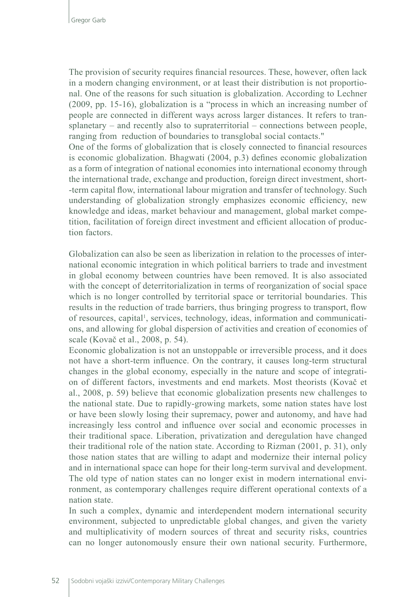The provision of security requires financial resources. These, however, often lack in a modern changing environment, or at least their distribution is not proportional. One of the reasons for such situation is globalization. According to Lechner (2009, pp. 15-16), globalization is a "process in which an increasing number of people are connected in different ways across larger distances. It refers to transplanetary – and recently also to supraterritorial – connections between people, ranging from reduction of boundaries to transglobal social contacts."

One of the forms of globalization that is closely connected to financial resources is economic globalization. Bhagwati (2004, p.3) defines economic globalization as a form of integration of national economies into international economy through the international trade, exchange and production, foreign direct investment, short- -term capital flow, international labour migration and transfer of technology. Such understanding of globalization strongly emphasizes economic efficiency, new knowledge and ideas, market behaviour and management, global market competition, facilitation of foreign direct investment and efficient allocation of production factors.

Globalization can also be seen as liberization in relation to the processes of international economic integration in which political barriers to trade and investment in global economy between countries have been removed. It is also associated with the concept of deterritorialization in terms of reorganization of social space which is no longer controlled by territorial space or territorial boundaries. This results in the reduction of trade barriers, thus bringing progress to transport, flow of resources, capital<sup>1</sup>, services, technology, ideas, information and communications, and allowing for global dispersion of activities and creation of economies of scale (Kovač et al., 2008, p. 54).

Economic globalization is not an unstoppable or irreversible process, and it does not have a short-term influence. On the contrary, it causes long-term structural changes in the global economy, especially in the nature and scope of integration of different factors, investments and end markets. Most theorists (Kovač et al., 2008, p. 59) believe that economic globalization presents new challenges to the national state. Due to rapidly-growing markets, some nation states have lost or have been slowly losing their supremacy, power and autonomy, and have had increasingly less control and influence over social and economic processes in their traditional space. Liberation, privatization and deregulation have changed their traditional role of the nation state. According to Rizman (2001, p. 31), only those nation states that are willing to adapt and modernize their internal policy and in international space can hope for their long-term survival and development. The old type of nation states can no longer exist in modern international environment, as contemporary challenges require different operational contexts of a nation state.

In such a complex, dynamic and interdependent modern international security environment, subjected to unpredictable global changes, and given the variety and multiplicativity of modern sources of threat and security risks, countries can no longer autonomously ensure their own national security. Furthermore,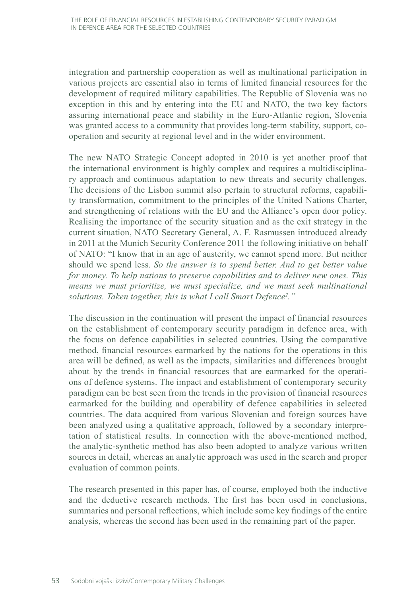integration and partnership cooperation as well as multinational participation in various projects are essential also in terms of limited financial resources for the development of required military capabilities. The Republic of Slovenia was no exception in this and by entering into the EU and NATO, the two key factors assuring international peace and stability in the Euro-Atlantic region, Slovenia was granted access to a community that provides long-term stability, support, cooperation and security at regional level and in the wider environment.

The new NATO Strategic Concept adopted in 2010 is yet another proof that the international environment is highly complex and requires a multidisciplinary approach and continuous adaptation to new threats and security challenges. The decisions of the Lisbon summit also pertain to structural reforms, capability transformation, commitment to the principles of the United Nations Charter, and strengthening of relations with the EU and the Alliance's open door policy. Realising the importance of the security situation and as the exit strategy in the current situation, NATO Secretary General, A. F. Rasmussen introduced already in 2011 at the Munich Security Conference 2011 the following initiative on behalf of NATO: "I know that in an age of austerity, we cannot spend more. But neither should we spend less. *So the answer is to spend better. And to get better value for money. To help nations to preserve capabilities and to deliver new ones. This means we must prioritize, we must specialize, and we must seek multinational solutions. Taken together, this is what I call Smart Defence<sup>2</sup> ."*

The discussion in the continuation will present the impact of financial resources on the establishment of contemporary security paradigm in defence area, with the focus on defence capabilities in selected countries. Using the comparative method, financial resources earmarked by the nations for the operations in this area will be defined, as well as the impacts, similarities and differences brought about by the trends in financial resources that are earmarked for the operations of defence systems. The impact and establishment of contemporary security paradigm can be best seen from the trends in the provision of financial resources earmarked for the building and operability of defence capabilities in selected countries. The data acquired from various Slovenian and foreign sources have been analyzed using a qualitative approach, followed by a secondary interpretation of statistical results. In connection with the above-mentioned method, the analytic-synthetic method has also been adopted to analyze various written sources in detail, whereas an analytic approach was used in the search and proper evaluation of common points.

The research presented in this paper has, of course, employed both the inductive and the deductive research methods. The first has been used in conclusions, summaries and personal reflections, which include some key findings of the entire analysis, whereas the second has been used in the remaining part of the paper.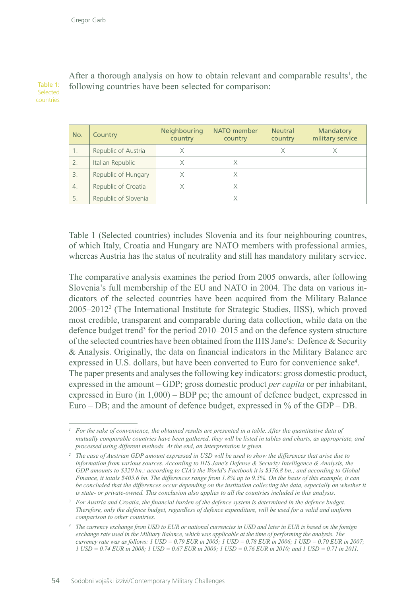#### Table 1: Selected countries

After a thorough analysis on how to obtain relevant and comparable results<sup>1</sup>, the following countries have been selected for comparison:

| No.              | Country              | Neighbouring<br>country | NATO member<br>country | <b>Neutral</b><br>country | Mandatory<br>military service |
|------------------|----------------------|-------------------------|------------------------|---------------------------|-------------------------------|
|                  | Republic of Austria  | Χ                       |                        | Χ                         |                               |
| 2.               | Italian Republic     |                         |                        |                           |                               |
| 3.               | Republic of Hungary  | X                       | X                      |                           |                               |
| $\overline{4}$ . | Republic of Croatia  | Χ                       | Χ                      |                           |                               |
| 5.               | Republic of Slovenia |                         | Χ                      |                           |                               |

Table 1 (Selected countries) includes Slovenia and its four neighbouring countres, of which Italy, Croatia and Hungary are NATO members with professional armies, whereas Austria has the status of neutrality and still has mandatory military service.

The comparative analysis examines the period from 2005 onwards, after following Slovenia's full membership of the EU and NATO in 2004. The data on various indicators of the selected countries have been acquired from the Military Balance 2005–2012<sup>2</sup> (The International Institute for Strategic Studies, IISS), which proved most credible, transparent and comparable during data collection, while data on the defence budget trend<sup>3</sup> for the period 2010–2015 and on the defence system structure of the selected countries have been obtained from the IHS Jane's: Defence & Security & Analysis. Originally, the data on financial indicators in the Military Balance are expressed in U.S. dollars, but have been converted to Euro for convenience sake<sup>4</sup>. The paper presents and analyses the following key indicators: gross domestic product, expressed in the amount – GDP; gross domestic product *per capita* or per inhabitant, expressed in Euro (in 1,000) – BDP pc; the amount of defence budget, expressed in Euro – DB; and the amount of defence budget, expressed in % of the GDP – DB.

*For the sake of convenience, the obtained results are presented in a table. After the quantitative data of mutually comparable countries have been gathered, they will be listed in tables and charts, as appropriate, and processed using different methods. At the end, an interpretation is given.* 

*<sup>2</sup> The case of Austrian GDP amount expressed in USD will be used to show the differences that arise due to information from various sources. According to IHS Jane's Defense & Security Intelligence & Analysis, the GDP amounts to \$320 bn.; according to CIA's the World's Factbook it is \$376.8 bn.; and according to Global Finance, it totals \$405.6 bn. The differences range from 1.8% up to 9.5%. On the basis of this example, it can*  be concluded that the differences occur depending on the institution collecting the data, especially on whether it *is state- or private-owned. This conclusion also applies to all the countries included in this analysis.*

*<sup>3</sup> For Austria and Croatia, the financial burden of the defence system is determined in the defence budget. Therefore, only the defence budget, regardless of defence expenditure, will be used for a valid and uniform comparison to other countries.*

*<sup>4</sup> The currency exchange from USD to EUR or national currencies in USD and later in EUR is based on the foreign exchange rate used in the Military Balance, which was applicable at the time of performing the analysis. The currency rate was as follows: 1 USD = 0.79 EUR in 2005; 1 USD = 0.78 EUR in 2006; 1 USD = 0.70 EUR in 2007; 1 USD = 0.74 EUR in 2008; 1 USD = 0.67 EUR in 2009; 1 USD = 0.76 EUR in 2010; and 1 USD = 0.71 in 2011.*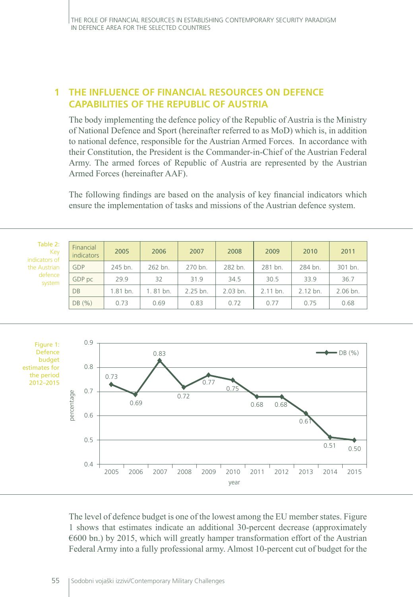# **1 THE INFLUENCE OF FINANCIAL RESOURCES ON DEFENCE CAPABILITIES OF THE REPUBLIC OF AUSTRIA**

The body implementing the defence policy of the Republic of Austria is the Ministry of National Defence and Sport (hereinafter referred to as MoD) which is, in addition to national defence, responsible for the Austrian Armed Forces. In accordance with their Constitution, the President is the Commander-in-Chief of the Austrian Federal Army. The armed forces of Republic of Austria are represented by the Austrian Armed Forces (hereinafter AAF).

The following findings are based on the analysis of key financial indicators which ensure the implementation of tasks and missions of the Austrian defence system.

| Table 2:<br>Key<br>indicators of                   | Financial<br>indicators         | 2005         | 2006     | 2007         | 2008     | 2009         | 2010     | 2011                     |
|----------------------------------------------------|---------------------------------|--------------|----------|--------------|----------|--------------|----------|--------------------------|
| the Austrian                                       | GDP                             | 245 bn.      | 262 bn.  | 270 bn.      | 282 bn.  | 281 bn.      | 284 bn.  | 301 bn.                  |
| defence<br>system                                  | GDP pc                          | 29.9         | 32       | 31.9         | 34.5     | 30.5         | 33.9     | 36.7                     |
|                                                    | DB                              | 1.81 bn.     | 1.81 bn. | 2.25 bn.     | 2.03 bn. | 2.11 bn.     | 2.12 bn. | 2.06 bn.                 |
|                                                    | DB (%)                          | 0.73         | 0.69     | 0.83         | 0.72     | 0.77         | 0.75     | 0.68                     |
| Figure 1:<br>Defence                               | 0.9                             |              | 0.83     |              |          |              |          | $\rightarrow$ DB $(\% )$ |
| budget<br>estimates for<br>the period<br>2012-2015 | 0.8<br>0.7<br>percentage<br>0.6 | 0.73<br>0.69 |          | 0.77<br>0.72 | 0.75     | 0.68<br>0.68 | 0.61     |                          |

The level of defence budget is one of the lowest among the EU member states. Figure 1 shows that estimates indicate an additional 30-percent decrease (approximately €600 bn.) by 2015, which will greatly hamper transformation effort of the Austrian Federal Army into a fully professional army. Almost 10-percent cut of budget for the

year

2005 2006 2007 2008 2009 2010 2011 2012 2013 2014 2015

 $0.4 +$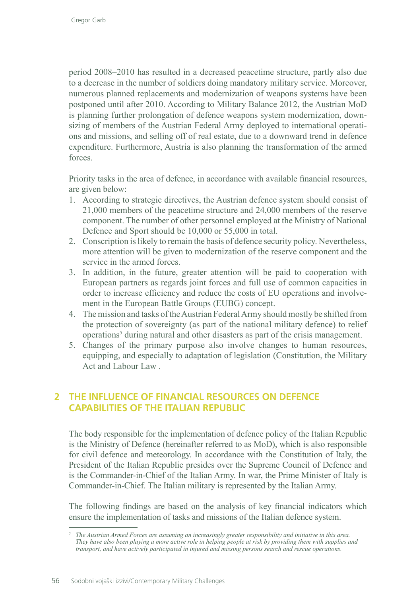period 2008–2010 has resulted in a decreased peacetime structure, partly also due to a decrease in the number of soldiers doing mandatory military service. Moreover, numerous planned replacements and modernization of weapons systems have been postponed until after 2010. According to Military Balance 2012, the Austrian MoD is planning further prolongation of defence weapons system modernization, downsizing of members of the Austrian Federal Army deployed to international operations and missions, and selling off of real estate, due to a downward trend in defence expenditure. Furthermore, Austria is also planning the transformation of the armed forces.

Priority tasks in the area of defence, in accordance with available financial resources, are given below:

- 1. According to strategic directives, the Austrian defence system should consist of 21,000 members of the peacetime structure and 24,000 members of the reserve component. The number of other personnel employed at the Ministry of National Defence and Sport should be 10,000 or 55,000 in total.
- 2. Conscription is likely to remain the basis of defence security policy. Nevertheless, more attention will be given to modernization of the reserve component and the service in the armed forces.
- 3. In addition, in the future, greater attention will be paid to cooperation with European partners as regards joint forces and full use of common capacities in order to increase efficiency and reduce the costs of EU operations and involvement in the European Battle Groups (EUBG) concept.
- 4. The mission and tasks of the Austrian Federal Army should mostly be shifted from the protection of sovereignty (as part of the national military defence) to relief operations<sup>5</sup> during natural and other disasters as part of the crisis management.
- 5. Changes of the primary purpose also involve changes to human resources, equipping, and especially to adaptation of legislation (Constitution, the Military Act and Labour Law .

# **2 THE INFLUENCE OF FINANCIAL RESOURCES ON DEFENCE CAPABILITIES OF THE ITALIAN REPUBLIC**

The body responsible for the implementation of defence policy of the Italian Republic is the Ministry of Defence (hereinafter referred to as MoD), which is also responsible for civil defence and meteorology. In accordance with the Constitution of Italy, the President of the Italian Republic presides over the Supreme Council of Defence and is the Commander-in-Chief of the Italian Army. In war, the Prime Minister of Italy is Commander-in-Chief. The Italian military is represented by the Italian Army.

The following findings are based on the analysis of key financial indicators which ensure the implementation of tasks and missions of the Italian defence system.

*<sup>5</sup> The Austrian Armed Forces are assuming an increasingly greater responsibility and initiative in this area. They have also been playing a more active role in helping people at risk by providing them with supplies and transport, and have actively participated in injured and missing persons search and rescue operations.*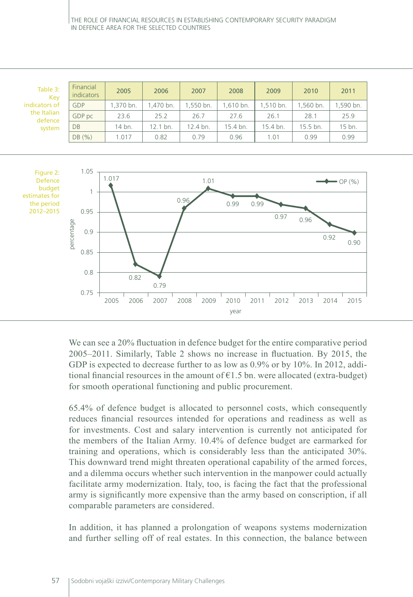| Table 3:<br>Kev        | Financial<br>indicators | 2005     | 2006     | 2007     | 2008     | 2009      | 2010     | 2011      |
|------------------------|-------------------------|----------|----------|----------|----------|-----------|----------|-----------|
| indicators of          | GDP                     | .370 bn. | .470 bn. | .550 bn. | .610 bn. | 1.510 bn. | .560 bn. | 1,590 bn. |
| the Italian<br>defence | GDP pc                  | 23.6     | 25.2     | 26.7     | 27.6     | 26.1      | 28.1     | 25.9      |
| system                 | DB                      | 14 bn.   | 12.1 bn. | 12.4 bn. | 15.4 bn. | 15.4 bn.  | 15.5 bn. | 15 bn.    |
|                        | DB(%)                   | 1.017    | 0.82     | 0.79     | 0.96     | 1.01      | 0.99     | 0.99      |



We can see a 20% fluctuation in defence budget for the entire comparative period 2005–2011. Similarly, Table 2 shows no increase in fluctuation. By 2015, the GDP is expected to decrease further to as low as 0.9% or by 10%. In 2012, additional financial resources in the amount of  $E1.5$  bn. were allocated (extra-budget) for smooth operational functioning and public procurement.

65.4% of defence budget is allocated to personnel costs, which consequently reduces financial resources intended for operations and readiness as well as for investments. Cost and salary intervention is currently not anticipated for the members of the Italian Army. 10.4% of defence budget are earmarked for training and operations, which is considerably less than the anticipated 30%. This downward trend might threaten operational capability of the armed forces, and a dilemma occurs whether such intervention in the manpower could actually facilitate army modernization. Italy, too, is facing the fact that the professional army is significantly more expensive than the army based on conscription, if all comparable parameters are considered.

In addition, it has planned a prolongation of weapons systems modernization and further selling off of real estates. In this connection, the balance between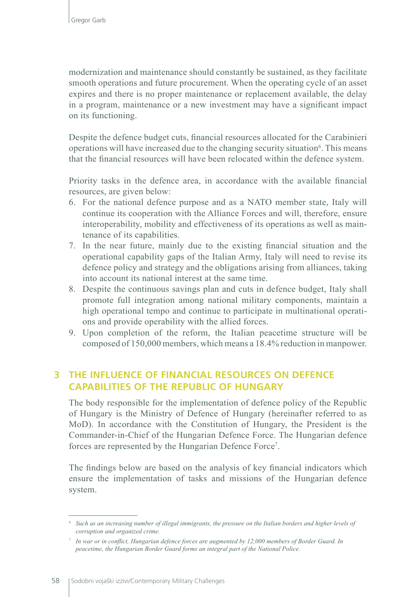modernization and maintenance should constantly be sustained, as they facilitate smooth operations and future procurement. When the operating cycle of an asset expires and there is no proper maintenance or replacement available, the delay in a program, maintenance or a new investment may have a significant impact on its functioning.

Despite the defence budget cuts, financial resources allocated for the Carabinieri operations will have increased due to the changing security situation<sup>6</sup>. This means that the financial resources will have been relocated within the defence system.

Priority tasks in the defence area, in accordance with the available financial resources, are given below:

- 6. For the national defence purpose and as a NATO member state, Italy will continue its cooperation with the Alliance Forces and will, therefore, ensure interoperability, mobility and effectiveness of its operations as well as maintenance of its capabilities.
- 7. In the near future, mainly due to the existing financial situation and the operational capability gaps of the Italian Army, Italy will need to revise its defence policy and strategy and the obligations arising from alliances, taking into account its national interest at the same time.
- 8. Despite the continuous savings plan and cuts in defence budget, Italy shall promote full integration among national military components, maintain a high operational tempo and continue to participate in multinational operations and provide operability with the allied forces.
- 9. Upon completion of the reform, the Italian peacetime structure will be composed of 150,000 members, which means a 18.4% reduction in manpower.

### **3 THE INFLUENCE OF FINANCIAL RESOURCES ON DEFENCE CAPABILITIES OF THE REPUBLIC OF HUNGARY**

The body responsible for the implementation of defence policy of the Republic of Hungary is the Ministry of Defence of Hungary (hereinafter referred to as MoD). In accordance with the Constitution of Hungary, the President is the Commander-in-Chief of the Hungarian Defence Force. The Hungarian defence forces are represented by the Hungarian Defence Force<sup>7</sup>.

The findings below are based on the analysis of key financial indicators which ensure the implementation of tasks and missions of the Hungarian defence system.

*<sup>6</sup> Such as an increasing number of illegal immigrants, the pressure on the Italian borders and higher levels of corruption and organized crime.*

*<sup>7</sup> In war or in conflict, Hungarian defence forces are augmented by 12,000 members of Border Guard. In peacetime, the Hungarian Border Guard forms an integral part of the National Police.*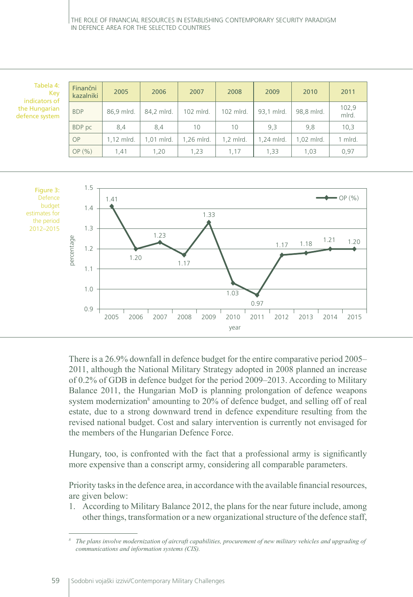| Tabela 4:<br>Key<br>indicators of | Finančni<br>kazalniki | 2005         | 2006       | 2007       | 2008      | 2009       | 2010       | 2011           |
|-----------------------------------|-----------------------|--------------|------------|------------|-----------|------------|------------|----------------|
| the Hungarian<br>defence system   | <b>BDP</b>            | 86.9 mlrd.   | 84.2 mlrd. | 102 mlrd.  | 102 mlrd. | 93.1 mlrd. | 98,8 mlrd. | 102,9<br>mlrd. |
|                                   | BDP pc                | 8,4          | 8,4        | 10         | 10        | 9,3        | 9,8        | 10,3           |
|                                   | <b>OP</b>             | $1.12$ mlrd. | 1.01 mlrd. | 1.26 mlrd. | 1,2 mlrd. | 1.24 mlrd. | 1.02 mlrd. | 1 mlrd.        |
|                                   | OP(%)                 | 1,41         | 1,20       | 1,23       | 1.17      | 1,33       | 1,03       | 0,97           |



There is a 26.9% downfall in defence budget for the entire comparative period 2005– 2011, although the National Military Strategy adopted in 2008 planned an increase of 0.2% of GDB in defence budget for the period 2009–2013. According to Military Balance 2011, the Hungarian MoD is planning prolongation of defence weapons system modernization<sup>8</sup> amounting to 20% of defence budget, and selling off of real estate, due to a strong downward trend in defence expenditure resulting from the revised national budget. Cost and salary intervention is currently not envisaged for the members of the Hungarian Defence Force.

Hungary, too, is confronted with the fact that a professional army is significantly more expensive than a conscript army, considering all comparable parameters.

Priority tasks in the defence area, in accordance with the available financial resources, are given below:

1. According to Military Balance 2012, the plans for the near future include, among other things, transformation or a new organizational structure of the defence staff,

*<sup>8</sup> The plans involve modernization of aircraft capabilities, procurement of new military vehicles and upgrading of communications and information systems (CIS).*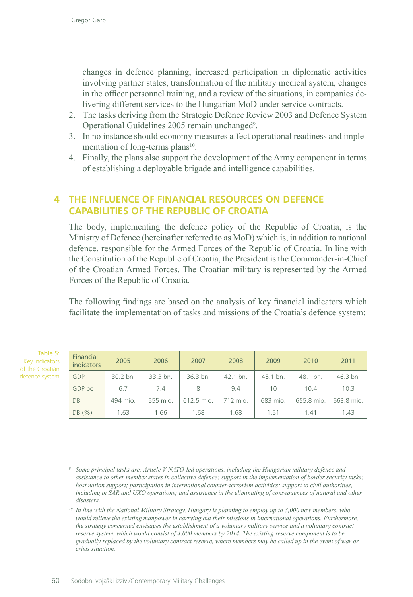changes in defence planning, increased participation in diplomatic activities involving partner states, transformation of the military medical system, changes in the officer personnel training, and a review of the situations, in companies delivering different services to the Hungarian MoD under service contracts.

- 2. The tasks deriving from the Strategic Defence Review 2003 and Defence System Operational Guidelines 2005 remain unchanged<sup>9</sup>.
- 3. In no instance should economy measures affect operational readiness and implementation of long-terms plans<sup>10</sup>.
- 4. Finally, the plans also support the development of the Army component in terms of establishing a deployable brigade and intelligence capabilities.

# **4 THE INFLUENCE OF FINANCIAL RESOURCES ON DEFENCE CAPABILITIES OF THE REPUBLIC OF CROATIA**

The body, implementing the defence policy of the Republic of Croatia, is the Ministry of Defence (hereinafter referred to as MoD) which is, in addition to national defence, responsible for the Armed Forces of the Republic of Croatia. In line with the Constitution of the Republic of Croatia, the President is the Commander-in-Chief of the Croatian Armed Forces. The Croatian military is represented by the Armed Forces of the Republic of Croatia.

The following findings are based on the analysis of key financial indicators which facilitate the implementation of tasks and missions of the Croatia's defence system:

| Table 5:        |
|-----------------|
| Key indicators  |
| of the Croatian |
| defence system  |

| Financial<br><b>indicators</b> | 2005     | 2006     | 2007                | 2008                | 2009     | 2010       | 2011       |
|--------------------------------|----------|----------|---------------------|---------------------|----------|------------|------------|
| GDP                            | 30.2 bn. | 33.3 bn. | $36.3 \text{ bn}$ . | $42.1 \text{ bn}$ . | 45.1 bn. | 48.1 bn.   | 46.3 bn.   |
| GDP pc                         | 6.7      | 7.4      | 8                   | 9.4                 | 10       | 10.4       | 10.3       |
| DB                             | 494 mio. | 555 mio. | 612.5 mio.          | 712 mio.            | 683 mio. | 655.8 mio. | 663.8 mio. |
| DB(%)                          | 1.63     | 1.66     | 1.68                | 1.68                | 1.51     | 1.41       | 1.43       |

*<sup>9</sup> Some principal tasks are: Article V NATO-led operations, including the Hungarian military defence and assistance to other member states in collective defence; support in the implementation of border security tasks; host nation support; participation in international counter-terrorism activities; support to civil authorities, including in SAR and UXO operations; and assistance in the eliminating of consequences of natural and other disasters.*

*<sup>10</sup> In line with the National Military Strategy, Hungary is planning to employ up to 3,000 new members, who would relieve the existing manpower in carrying out their missions in international operations. Furthermore, the strategy concerned envisages the establishment of a voluntary military service and a voluntary contract reserve system, which would consist of 4,000 members by 2014. The existing reserve component is to be gradually replaced by the voluntary contract reserve, where members may be called up in the event of war or crisis situation.*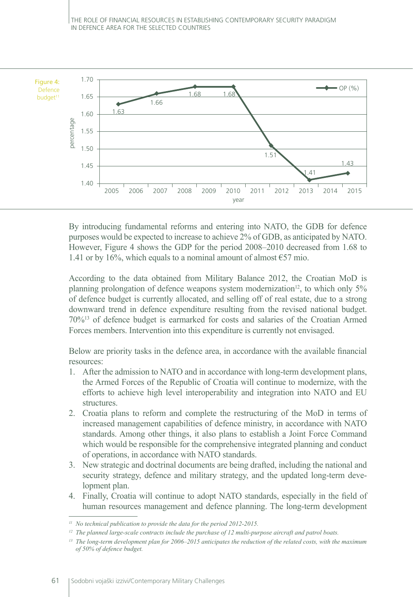

By introducing fundamental reforms and entering into NATO, the GDB for defence purposes would be expected to increase to achieve 2% of GDB, as anticipated by NATO. However, Figure 4 shows the GDP for the period 2008–2010 decreased from 1.68 to 1.41 or by 16%, which equals to a nominal amount of almost  $\epsilon$ 57 mio.

According to the data obtained from Military Balance 2012, the Croatian MoD is planning prolongation of defence weapons system modernization<sup>12</sup>, to which only  $5\%$ of defence budget is currently allocated, and selling off of real estate, due to a strong downward trend in defence expenditure resulting from the revised national budget. 70%<sup>13</sup> of defence budget is earmarked for costs and salaries of the Croatian Armed Forces members. Intervention into this expenditure is currently not envisaged.

Below are priority tasks in the defence area, in accordance with the available financial resources:

- 1. After the admission to NATO and in accordance with long-term development plans, the Armed Forces of the Republic of Croatia will continue to modernize, with the efforts to achieve high level interoperability and integration into NATO and EU structures.
- 2. Croatia plans to reform and complete the restructuring of the MoD in terms of increased management capabilities of defence ministry, in accordance with NATO standards. Among other things, it also plans to establish a Joint Force Command which would be responsible for the comprehensive integrated planning and conduct of operations, in accordance with NATO standards.
- 3. New strategic and doctrinal documents are being drafted, including the national and security strategy, defence and military strategy, and the updated long-term development plan.
- 4. Finally, Croatia will continue to adopt NATO standards, especially in the field of human resources management and defence planning. The long-term development

*<sup>11</sup> No technical publication to provide the data for the period 2012-2015.*

*<sup>12</sup> The planned large-scale contracts include the purchase of 12 multi-purpose aircraft and patrol boats.*

*<sup>13</sup> The long-term development plan for 2006–2015 anticipates the reduction of the related costs, with the maximum of 50% of defence budget.*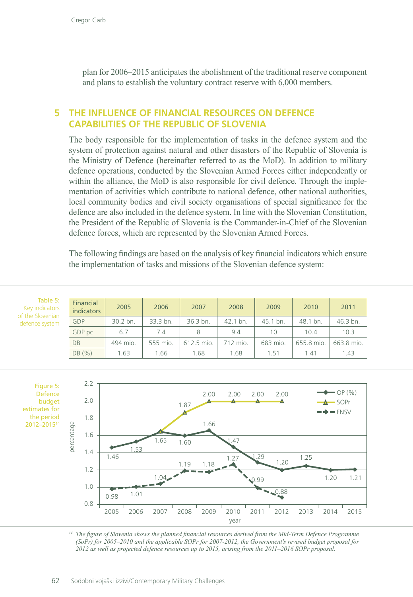plan for 2006–2015 anticipates the abolishment of the traditional reserve component and plans to establish the voluntary contract reserve with 6,000 members.

### **5 THE INFLUENCE OF FINANCIAL RESOURCES ON DEFENCE CAPABILITIES OF THE REPUBLIC OF SLOVENIA**

The body responsible for the implementation of tasks in the defence system and the system of protection against natural and other disasters of the Republic of Slovenia is the Ministry of Defence (hereinafter referred to as the MoD). In addition to military defence operations, conducted by the Slovenian Armed Forces either independently or within the alliance, the MoD is also responsible for civil defence. Through the implementation of activities which contribute to national defence, other national authorities, local community bodies and civil society organisations of special significance for the defence are also included in the defence system. In line with the Slovenian Constitution, the President of the Republic of Slovenia is the Commander-in-Chief of the Slovenian defence forces, which are represented by the Slovenian Armed Forces.

The following findings are based on the analysis of key financial indicators which ensure the implementation of tasks and missions of the Slovenian defence system:

| Table 5:<br>Key indicators<br>of the Slovenian | Financial<br>indicators | 2005     | 2006     | 2007       | 2008     | 2009     | 2010       | 2011       |
|------------------------------------------------|-------------------------|----------|----------|------------|----------|----------|------------|------------|
| defence system                                 | GDP                     | 30.2 bn. | 33.3 bn. | 36.3 bn.   | 42.1 bn. | 45.1 bn. | 48.1 bn.   | 46.3 bn.   |
|                                                | GDP pc                  | 6.7      | 7.4      | 8          | 9.4      | 10       | 10.4       | 10.3       |
|                                                | <b>DB</b>               | 494 mio. | 555 mio. | 612.5 mio. | 712 mio. | 683 mio. | 655.8 mio. | 663.8 mio. |
|                                                | DB(%)                   | 1.63     | 1.66     | 1.68       | 1.68     | 1.51     | 1.41       | 1.43       |





*<sup>14</sup> The figure of Slovenia shows the planned financial resources derived from the Mid-Term Defence Programme (SoPr) for 2005–2010 and the applicable SOPr for 2007-2012, the Government's revised budget proposal for 2012 as well as projected defence resources up to 2015, arising from the 2011–2016 SOPr proposal.*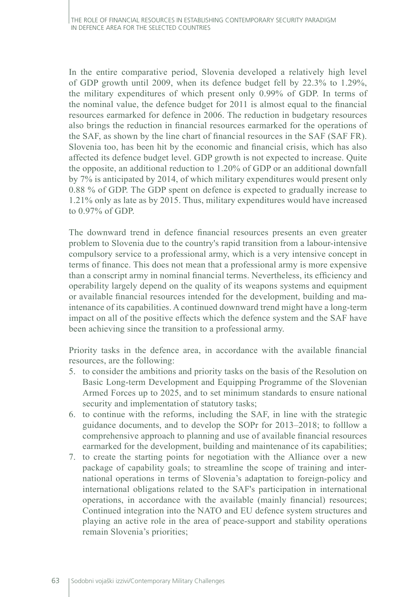In the entire comparative period, Slovenia developed a relatively high level of GDP growth until 2009, when its defence budget fell by 22.3% to 1.29%, the military expenditures of which present only 0.99% of GDP. In terms of the nominal value, the defence budget for 2011 is almost equal to the financial resources earmarked for defence in 2006. The reduction in budgetary resources also brings the reduction in financial resources earmarked for the operations of the SAF, as shown by the line chart of financial resources in the SAF (SAF FR). Slovenia too, has been hit by the economic and financial crisis, which has also affected its defence budget level. GDP growth is not expected to increase. Quite the opposite, an additional reduction to 1.20% of GDP or an additional downfall by 7% is anticipated by 2014, of which military expenditures would present only 0.88 % of GDP. The GDP spent on defence is expected to gradually increase to 1.21% only as late as by 2015. Thus, military expenditures would have increased to 0.97% of GDP.

The downward trend in defence financial resources presents an even greater problem to Slovenia due to the country's rapid transition from a labour-intensive compulsory service to a professional army, which is a very intensive concept in terms of finance. This does not mean that a professional army is more expensive than a conscript army in nominal financial terms. Nevertheless, its efficiency and operability largely depend on the quality of its weapons systems and equipment or available financial resources intended for the development, building and maintenance of its capabilities. A continued downward trend might have a long-term impact on all of the positive effects which the defence system and the SAF have been achieving since the transition to a professional army.

Priority tasks in the defence area, in accordance with the available financial resources, are the following:

- 5. to consider the ambitions and priority tasks on the basis of the Resolution on Basic Long-term Development and Equipping Programme of the Slovenian Armed Forces up to 2025, and to set minimum standards to ensure national security and implementation of statutory tasks;
- 6. to continue with the reforms, including the SAF, in line with the strategic guidance documents, and to develop the SOPr for 2013–2018; to folllow a comprehensive approach to planning and use of available financial resources earmarked for the development, building and maintenance of its capabilities;
- 7. to create the starting points for negotiation with the Alliance over a new package of capability goals; to streamline the scope of training and international operations in terms of Slovenia's adaptation to foreign-policy and international obligations related to the SAF's participation in international operations, in accordance with the available (mainly financial) resources; Continued integration into the NATO and EU defence system structures and playing an active role in the area of peace-support and stability operations remain Slovenia's priorities;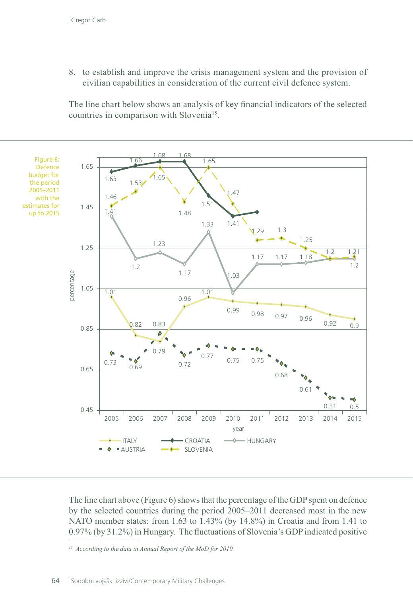8. to establish and improve the crisis management system and the provision of civilian capabilities in consideration of the current civil defence system.

The line chart below shows an analysis of key financial indicators of the selected countries in comparison with Slovenia<sup>15</sup>.



The line chart above (Figure 6) shows that the percentage of the GDP spent on defence by the selected countries during the period 2005–2011 decreased most in the new NATO member states: from 1.63 to 1.43% (by 14.8%) in Croatia and from 1.41 to 0.97% (by 31.2%) in Hungary. The fluctuations of Slovenia's GDP indicated positive

*<sup>15</sup> According to the data in Annual Report of the MoD for 2010.*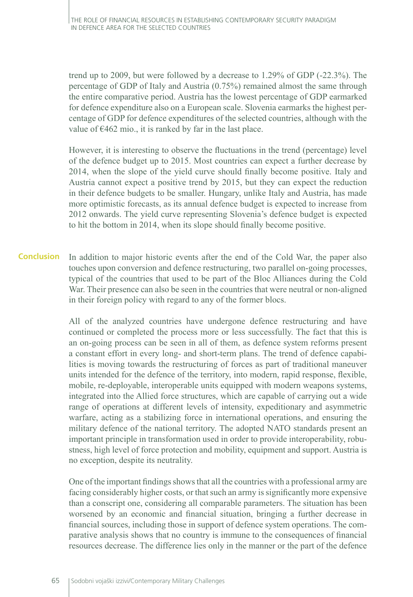trend up to 2009, but were followed by a decrease to 1.29% of GDP (-22.3%). The percentage of GDP of Italy and Austria (0.75%) remained almost the same through the entire comparative period. Austria has the lowest percentage of GDP earmarked for defence expenditure also on a European scale. Slovenia earmarks the highest percentage of GDP for defence expenditures of the selected countries, although with the value of  $\epsilon$ 462 mio., it is ranked by far in the last place.

However, it is interesting to observe the fluctuations in the trend (percentage) level of the defence budget up to 2015. Most countries can expect a further decrease by 2014, when the slope of the yield curve should finally become positive. Italy and Austria cannot expect a positive trend by 2015, but they can expect the reduction in their defence budgets to be smaller. Hungary, unlike Italy and Austria, has made more optimistic forecasts, as its annual defence budget is expected to increase from 2012 onwards. The yield curve representing Slovenia's defence budget is expected to hit the bottom in 2014, when its slope should finally become positive.

In addition to major historic events after the end of the Cold War, the paper also touches upon conversion and defence restructuring, two parallel on-going processes, typical of the countries that used to be part of the Bloc Alliances during the Cold War. Their presence can also be seen in the countries that were neutral or non-aligned in their foreign policy with regard to any of the former blocs. **Conclusion**

> All of the analyzed countries have undergone defence restructuring and have continued or completed the process more or less successfully. The fact that this is an on-going process can be seen in all of them, as defence system reforms present a constant effort in every long- and short-term plans. The trend of defence capabilities is moving towards the restructuring of forces as part of traditional maneuver units intended for the defence of the territory, into modern, rapid response, flexible, mobile, re-deployable, interoperable units equipped with modern weapons systems, integrated into the Allied force structures, which are capable of carrying out a wide range of operations at different levels of intensity, expeditionary and asymmetric warfare, acting as a stabilizing force in international operations, and ensuring the military defence of the national territory. The adopted NATO standards present an important principle in transformation used in order to provide interoperability, robustness, high level of force protection and mobility, equipment and support. Austria is no exception, despite its neutrality.

> One of the important findings shows that all the countries with a professional army are facing considerably higher costs, or that such an army is significantly more expensive than a conscript one, considering all comparable parameters. The situation has been worsened by an economic and financial situation, bringing a further decrease in financial sources, including those in support of defence system operations. The comparative analysis shows that no country is immune to the consequences of financial resources decrease. The difference lies only in the manner or the part of the defence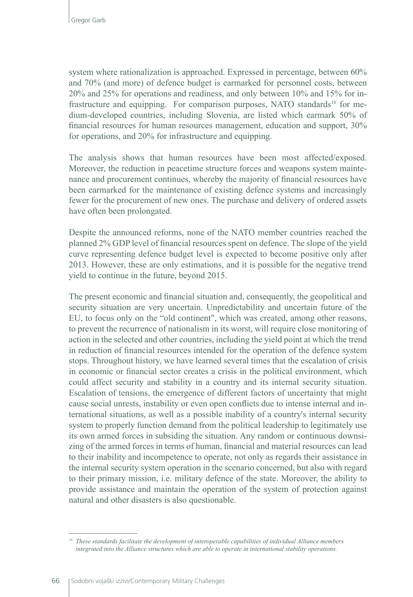system where rationalization is approached. Expressed in percentage, between 60% and 70% (and more) of defence budget is earmarked for personnel costs, between 20% and 25% for operations and readiness, and only between 10% and 15% for infrastructure and equipping. For comparison purposes, NATO standards<sup>16</sup> for medium-developed countries, including Slovenia, are listed which earmark 50% of financial resources for human resources management, education and support, 30% for operations, and 20% for infrastructure and equipping.

The analysis shows that human resources have been most affected/exposed. Moreover, the reduction in peacetime structure forces and weapons system maintenance and procurement continues, whereby the majority of financial resources have been earmarked for the maintenance of existing defence systems and increasingly fewer for the procurement of new ones. The purchase and delivery of ordered assets have often been prolongated.

Despite the announced reforms, none of the NATO member countries reached the planned 2% GDP level of financial resources spent on defence. The slope of the yield curve representing defence budget level is expected to become positive only after 2013. However, these are only estimations, and it is possible for the negative trend yield to continue in the future, beyond 2015.

The present economic and financial situation and, consequently, the geopolitical and security situation are very uncertain. Unpredictability and uncertain future of the EU, to focus only on the "old continent", which was created, among other reasons, to prevent the recurrence of nationalism in its worst, will require close monitoring of action in the selected and other countries, including the yield point at which the trend in reduction of financial resources intended for the operation of the defence system stops. Throughout history, we have learned several times that the escalation of crisis in economic or financial sector creates a crisis in the political environment, which could affect security and stability in a country and its internal security situation. Escalation of tensions, the emergence of different factors of uncertainty that might cause social unrests, instability or even open conflicts due to intense internal and international situations, as well as a possible inability of a country's internal security system to properly function demand from the political leadership to legitimately use its own armed forces in subsiding the situation. Any random or continuous downsizing of the armed forces in terms of human, financial and material resources can lead to their inability and incompetence to operate, not only as regards their assistance in the internal security system operation in the scenario concerned, but also with regard to their primary mission, i.e. military defence of the state. Moreover, the ability to provide assistance and maintain the operation of the system of protection against natural and other disasters is also questionable.

*<sup>16</sup> These standards facilitate the development of interoperable capabilities of individual Alliance members integrated into the Alliance structures which are able to operate in international stability operations.*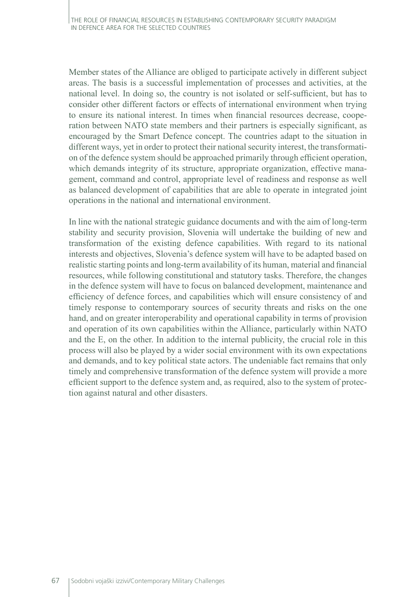Member states of the Alliance are obliged to participate actively in different subject areas. The basis is a successful implementation of processes and activities, at the national level. In doing so, the country is not isolated or self-sufficient, but has to consider other different factors or effects of international environment when trying to ensure its national interest. In times when financial resources decrease, cooperation between NATO state members and their partners is especially significant, as encouraged by the Smart Defence concept. The countries adapt to the situation in different ways, yet in order to protect their national security interest, the transformation of the defence system should be approached primarily through efficient operation, which demands integrity of its structure, appropriate organization, effective management, command and control, appropriate level of readiness and response as well as balanced development of capabilities that are able to operate in integrated joint operations in the national and international environment.

In line with the national strategic guidance documents and with the aim of long-term stability and security provision, Slovenia will undertake the building of new and transformation of the existing defence capabilities. With regard to its national interests and objectives, Slovenia's defence system will have to be adapted based on realistic starting points and long-term availability of its human, material and financial resources, while following constitutional and statutory tasks. Therefore, the changes in the defence system will have to focus on balanced development, maintenance and efficiency of defence forces, and capabilities which will ensure consistency of and timely response to contemporary sources of security threats and risks on the one hand, and on greater interoperability and operational capability in terms of provision and operation of its own capabilities within the Alliance, particularly within NATO and the E, on the other. In addition to the internal publicity, the crucial role in this process will also be played by a wider social environment with its own expectations and demands, and to key political state actors. The undeniable fact remains that only timely and comprehensive transformation of the defence system will provide a more efficient support to the defence system and, as required, also to the system of protection against natural and other disasters.